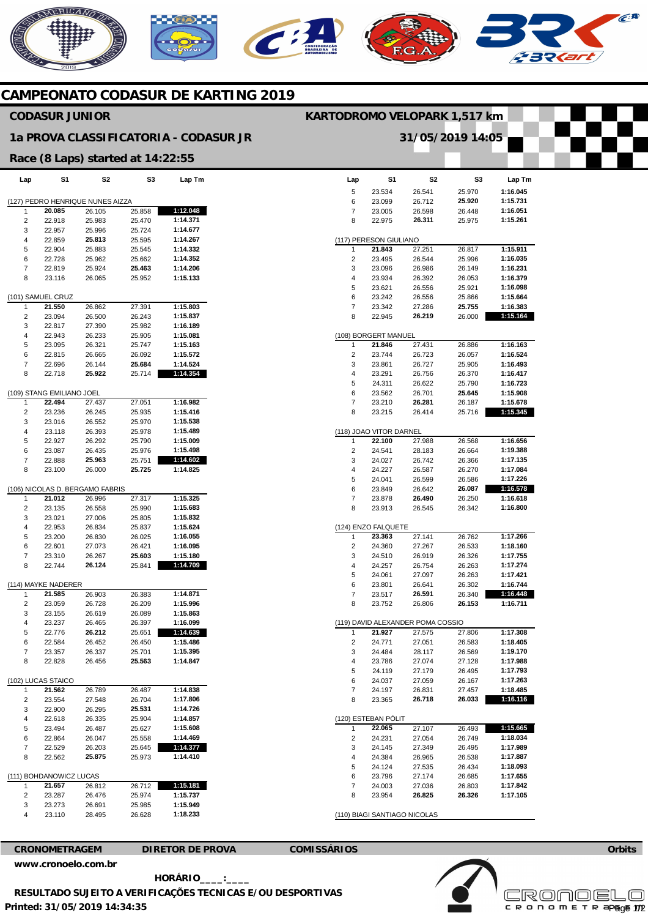# ERICANO



## **CAMPEONATO CODASUR DE KARTING 2019**

## **CODASUR JUNIOR**

### **1a PROVA CLASSIFICATORIA - CODASUR JR**

#### **Race (8 Laps) started at 14:22:55**

| Lap                              | S1                      | S2                              | S3     | Lap Tm   |
|----------------------------------|-------------------------|---------------------------------|--------|----------|
| (127) PEDRO HENRIQUE NUNES AIZZA |                         |                                 |        |          |
| 1                                | 20.085                  | 26.105                          | 25.858 | 1:12.048 |
| 2                                | 22.918                  | 25.983                          | 25.470 | 1:14.371 |
| 3                                | 22.957                  | 25.996                          | 25.724 | 1:14.677 |
| 4                                | 22.859                  | 25.813                          | 25.595 | 1:14.267 |
| 5                                | 22.904                  | 25.883                          | 25.545 | 1:14.332 |
| 6                                | 22.728                  | 25.962                          | 25.662 | 1:14.352 |
| 7                                | 22.819                  | 25.924                          | 25.463 | 1:14.206 |
| 8                                | 23.116                  | 26.065                          | 25.952 | 1:15.133 |
|                                  | (101) SAMUEL CRUZ       |                                 |        |          |
| 1                                | 21.550                  | 26.862                          | 27.391 | 1:15.803 |
| 2                                | 23.094                  | 26.500                          | 26.243 | 1:15.837 |
| 3                                | 22.817                  | 27.390                          | 25.982 | 1:16.189 |
| 4                                | 22.943                  | 26.233                          | 25.905 | 1:15.081 |
| 5                                | 23.095                  | 26.321                          | 25.747 | 1:15.163 |
| 6                                | 22.815                  | 26.665                          | 26.092 | 1:15.572 |
| 7                                | 22.696                  | 26.144                          | 25.684 | 1:14.524 |
| 8                                | 22.718                  | 25.922                          | 25.714 | 1:14.354 |
| (109)                            | STANG EMILIANO JOEL     |                                 |        |          |
| 1                                | 22.494                  | 27.437                          | 27.051 | 1:16.982 |
| 2                                | 23.236                  | 26.245                          | 25.935 | 1:15.416 |
| 3                                | 23.016                  | 26.552                          | 25.970 | 1:15.538 |
| 4                                | 23.118                  | 26.393                          | 25.978 | 1:15.489 |
| 5                                | 22.927                  | 26.292                          | 25.790 | 1:15.009 |
| 6                                | 23.087                  | 26.435                          | 25.976 | 1:15.498 |
| 7                                | 22.888                  | 25.963                          | 25.751 | 1:14.602 |
| 8                                | 23.100                  | 26.000                          | 25.725 | 1:14.825 |
|                                  |                         | (106) NICOLAS D. BERGAMO FABRIS |        |          |
| 1                                | 21.012                  | 26.996                          | 27.317 | 1:15.325 |
| 2                                | 23.135                  | 26.558                          | 25.990 | 1:15.683 |
| 3                                | 23.021                  | 27.006                          | 25.805 | 1:15.832 |
| 4                                | 22.953                  | 26.834                          | 25.837 | 1:15.624 |
| 5                                | 23.200                  | 26.830                          | 26.025 | 1:16.055 |
| 6                                | 22.601                  | 27.073                          | 26.421 | 1:16.095 |
| 7                                | 23.310                  | 26.267                          | 25.603 | 1:15.180 |
| 8                                | 22.744                  | 26.124                          | 25.841 | 1:14.709 |
|                                  | (114) MAYKE NADERER     |                                 |        |          |
| 1                                | 21.585                  | 26.903                          | 26.383 | 1:14.871 |
| 2                                | 23.059                  | 26.728                          | 26.209 | 1:15.996 |
| 3                                | 23.155                  | 26.619                          | 26.089 | 1:15.863 |
| 4                                | 23.237                  | 26.465                          | 26.397 | 1:16.099 |
| 5                                | 22.776                  | 26.212                          | 25.651 | 1:14.639 |
| 6                                | 22.584                  | 26.452                          | 26.450 | 1:15.486 |
| 7                                | 23.357                  | 26.337                          | 25.701 | 1:15.395 |
| 8                                | 22.828                  | 26.456                          | 25.563 | 1:14.847 |
|                                  | (102) LUCAS STAICO      |                                 |        |          |
| 1                                | 21.562                  | 26.789                          | 26.487 | 1:14.838 |
| 2                                | 23.554                  | 27.548                          | 26.704 | 1:17.806 |
| 3                                | 22.900                  | 26.295                          | 25.531 | 1:14.726 |
| 4                                | 22.618                  | 26.335                          | 25.904 | 1:14.857 |
| 5                                | 23.494                  | 26.487                          | 25.627 | 1:15.608 |
| 6                                | 22.864                  | 26.047                          | 25.558 | 1:14.469 |
| 7                                | 22.529                  | 26.203                          | 25.645 | 1:14.377 |
| 8                                | 22.562                  | 25.875                          | 25.973 | 1:14.410 |
|                                  | (111) BOHDANOWICZ LUCAS |                                 |        |          |
| 1                                | 21.657                  | 26.812                          | 26.712 | 1:15.181 |
| 2                                | 23.287                  | 26.476                          | 25.974 | 1:15.737 |
| 3                                | 23.273                  | 26.691                          | 25.985 | 1:15.949 |
| 4                                | 23.110                  | 28.495                          | 26.628 | 1:18.233 |
|                                  |                         |                                 |        |          |

| Lap            |                         |                                   |                  |                      |
|----------------|-------------------------|-----------------------------------|------------------|----------------------|
|                | S1                      | S2                                | S3               | Lap Tm               |
| 5              | 23.534                  | 26.541                            | 25.970           | 1:16.045             |
| 6              | 23.099                  | 26.712                            | 25.920           | 1:15.731             |
| 7              | 23.005                  | 26.598                            | 26.448           | 1:16.051             |
| 8              | 22.975                  | 26.311                            | 25.975           | 1:15.261             |
|                | (117) PERESON GIULIANO  |                                   |                  |                      |
| 1              | 21.843                  | 27.251                            | 26.817           | 1:15.911             |
| 2              | 23.495                  | 26.544                            | 25.996           | 1:16.035             |
| 3              | 23.096                  | 26.986                            | 26.149           | 1:16.231             |
| 4<br>5         | 23.934<br>23.621        | 26.392                            | 26.053<br>25.921 | 1:16.379<br>1:16.098 |
| 6              | 23.242                  | 26.556<br>26.556                  | 25.866           | 1:15.664             |
| 7              | 23.342                  | 27.286                            | 25.755           | 1:16.383             |
| 8              | 22.945                  | 26.219                            | 26.000           | 1:15.164             |
|                | (108) BORGERT MANUEL    |                                   |                  |                      |
| 1              | 21.846                  | 27.431                            | 26.886           | 1:16.163             |
| 2              | 23.744                  | 26.723                            | 26.057           | 1:16.524             |
| 3              | 23.861                  | 26.727                            | 25.905           | 1:16.493             |
| 4              | 23.291                  | 26.756                            | 26.370           | 1:16.417             |
| 5              | 24.311                  | 26.622                            | 25.790           | 1:16.723             |
| 6              | 23.562                  | 26.701                            | 25.645           | 1:15.908             |
| 7              | 23.210                  | 26.281                            | 26.187           | 1:15.678             |
| 8              | 23.215                  | 26.414                            | 25.716           | 1:15.345             |
|                | (118) JOAO VITOR DARNEL |                                   |                  |                      |
| 1              | 22.100<br>24.541        | 27.988                            | 26.568           | 1:16.656             |
| 2<br>3         | 24.027                  | 28.183<br>26.742                  | 26.664<br>26.366 | 1:19.388<br>1:17.135 |
| 4              | 24.227                  | 26.587                            | 26.270           | 1:17.084             |
| 5              | 24.041                  | 26.599                            | 26.586           | 1:17.226             |
| 6              | 23.849                  | 26.642                            | 26.087           | 1:16.578             |
| 7              | 23.878                  | 26.490                            | 26.250           | 1:16.618             |
|                | 23.913                  | 26.545                            | 26.342           | 1:16.800             |
| 8              |                         |                                   |                  |                      |
|                | (124) ENZO FALQUETE     |                                   |                  |                      |
| 1              | 23.363                  | 27.141                            | 26.762           | 1:17.266             |
| 2              | 24.360                  | 27.267                            | 26.533           | 1:18.160             |
| 3              | 24.510                  | 26.919                            | 26.326           | 1:17.755             |
| 4              | 24.257                  | 26.754                            | 26.263           | 1:17.274             |
| 5              | 24.061                  | 27.097                            | 26.263           | 1:17.421             |
| 6              | 23.801                  | 26.641                            | 26.302           | 1:16.744             |
| 7<br>8         | 23.517<br>23.752        | 26.591<br>26.806                  | 26.340<br>26.153 | 1:16.448<br>1:16.711 |
|                |                         |                                   |                  |                      |
| 1              | 21.927                  | (119) DAVID ALEXANDER POMA COSSIO |                  | 1:17.308             |
| $\overline{2}$ |                         | 27.575                            | 27.806           | 1:18.405             |
| 3              | 24.771<br>24.484        | 27.051<br>28.117                  | 26.583<br>26.569 | 1:19.170             |
| 4              | 23.786                  | 27.074                            | 27.128           | 1:17.988             |
| 5              | 24.119                  | 27.179                            | 26.495           | 1:17.793             |
| 6              | 24.037                  | 27.059                            | 26.167           | 1:17.263             |
| 7              | 24.197                  | 26.831                            | 27.457           | 1:18.485             |
| 8              | 23.365                  | 26.718                            | 26.033           | 1:16.116             |
|                | (120) ESTEBAN PÓLIT     |                                   |                  |                      |
| 1              | 22.065                  | 27.107                            | 26.493           | 1:15.665             |
| 2              | 24.231                  | 27.054                            | 26.749           | 1:18.034             |
| 3              | 24.145                  | 27.349                            | 26.495           | 1:17.989             |
| 4              | 24.384                  | 26.965                            | 26.538           | 1:17.887             |
| 5              | 24.124                  | 27.535                            | 26.434           | 1:18.093             |
| 6              | 23.796                  | 27.174                            | 26.685           | 1:17.655             |
| 7<br>8         | 24.003<br>23.954        | 27.036<br>26.825                  | 26.803<br>26.326 | 1:17.842<br>1:17.105 |

**KARTODROMO VELOPARK 1,517 km** 

**31/05/2019 14:05** 

**CRONOMETRAGEM DIRETOR DE PROVA COMISSÁRIOS [www.cronoelo.com.br](http://www.cronoelo.com.br)** 



**Orbits**